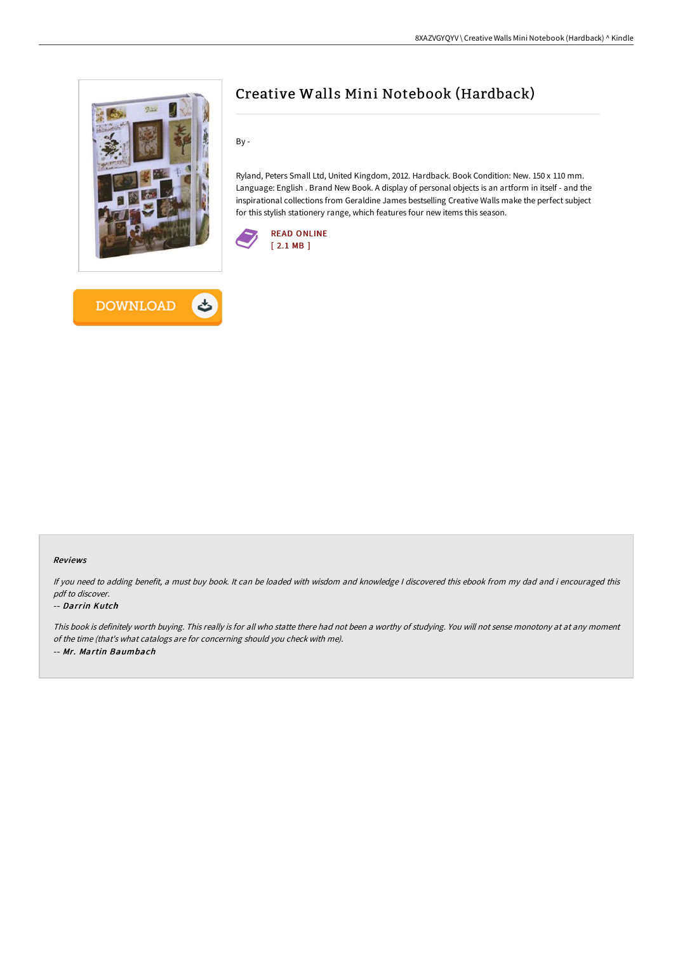

# Creative Walls Mini Notebook (Hardback)

By -

Ryland, Peters Small Ltd, United Kingdom, 2012. Hardback. Book Condition: New. 150 x 110 mm. Language: English . Brand New Book. A display of personal objects is an artform in itself - and the inspirational collections from Geraldine James bestselling Creative Walls make the perfect subject for this stylish stationery range, which features four new items this season.





#### Reviews

If you need to adding benefit, <sup>a</sup> must buy book. It can be loaded with wisdom and knowledge <sup>I</sup> discovered this ebook from my dad and i encouraged this pdf to discover.

#### -- Darrin Kutch

This book is definitely worth buying. This really is for all who statte there had not been <sup>a</sup> worthy of studying. You will not sense monotony at at any moment of the time (that's what catalogs are for concerning should you check with me). -- Mr. Martin Baumbach